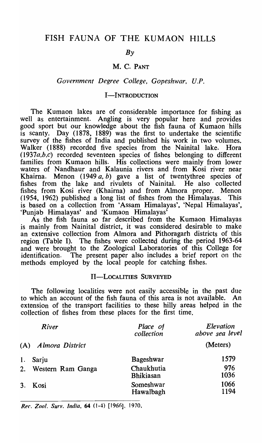# $Bv$

# M. C. PANT

*Government Degree College, Gopeshwar, V.P.* 

# I-INTRODUCTION

The Kumaon lakes are of considerable importance for fishing as well as entertainment. Angling is very popular here and provides good sport but our knowledge about the fish fauna of Kumaon hills is scanty. Day (1878, 1889) was the first to undertake the scientific survey of the fishes of India and published his work in two volumes. Walker (1888) recorded five species from the Nainital lake. Hora *(1937a,b,c)* recorded seventeen species of fishes belonging to different families from Kumaon hills. His collections were mainly from lower waters of Nandhaur and Kalaunia rivers and from Kosi river near Khairna. Menon (1949 *a,* b) gave a list of twentythree species of fishes from the lake and rivulets of Nainital. He also collected fishes from Kosi river (Khairna) and from Almora proper. Menon (1954, 1962) published a long list of fishes from the Himalayas. This is based on a collection from 'Assam Himalayas', 'Nepal Himalayas', 'Punjab Himalayas' and 'Kumaon Himalayas'

As the fish fauna so far described from the Kumaon Himalayas is mainly from Nainital district, it was considered desirable to make an extensive collection from Almora and Pithoragarh districts of this region (Table I). The fishes were collected during the period 1963-64 and were brought to the Zoological Laboratories of this College for identification. The present paper also includes a brief report on the methods employed by the local people for catching fishes.

## II-LOCALITIES SURVEYED

The following localities were not easily accessible in the past due to which an account of the fish fauna of this area is not available. An extension of the transport facilities to these hilly areas helped in the collection of fishes from these places for the first time.

| River       |                      | Place of<br>collection         | Elevation<br>above sea level |  |  |
|-------------|----------------------|--------------------------------|------------------------------|--|--|
|             | (A) Almora District  |                                | (Meters)                     |  |  |
| Sarju<br>1. |                      | <b>Bageshwar</b>               | 1579                         |  |  |
|             | 2. Western Ram Ganga | Chaukhutia<br><b>Bhikiasan</b> | 976<br>1036                  |  |  |
| 3. Kosi     |                      | Someshwar<br>Hawalbagh         | 1066<br>1194                 |  |  |

*Rec. Zool. Surv. India, 64* (1-4) [1966], 1970.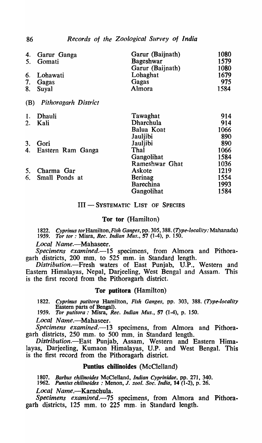86 *Records of the Zoological Survey of India* 

| 4.  | Garur Ganga                 | Garur (Baijnath) | 1080 |
|-----|-----------------------------|------------------|------|
| 5.  | Gomati                      | Bageshwar        | 1579 |
|     |                             | Garur (Baijnath) | 1080 |
| 6.  | Lohawati                    | Lohaghat         | 1679 |
| 7.  | Gagas                       | Gagas            | 975  |
| 8.  | Suyal                       | Almora           | 1584 |
| (B) | <b>Pithoragarh District</b> |                  |      |
| 1.  | Dhauli                      | Tawaghat         | 914  |
| 2.  | Kali                        | Dharchula        | 914  |
|     |                             | Balua Koat       | 1066 |
|     |                             | Jauljibi         | 890  |
| 3.  | Gori                        | Jauljibi         | 890  |
| 4.  | Eastern Ram Ganga           | Thal             | 1066 |
|     |                             | Gangolihat       | 1584 |
|     |                             | Rameshwar Ghat   | 1036 |
| 5.  | Charma Gar                  | Askote           | 1219 |
| 6.  | Small Ponds at              | Berinag          | 1554 |
|     |                             | Barechina        | 1993 |
|     |                             | Gangolihat       | 1584 |

# III - SYSTEMATIC LIST OF SPECIES

## Tor tor (Hamilton)

*1822. Cyprinus torHamilton,Fish Ganges,* pp. 305, 388. *(Type-locality:* Mahanada) *1959. Tor tor:* Misra, *Rec. Indian Mus.,* 57 (1-4), p. 150.

Local Name.--Mahaseer.

*Specimens examined.-15* specimens, from Almora and Pithoragarh districts, 200 mm. to 525 mm. in Standard length.

*Distribution.-Fresh* waters of East Punjab, U.P., Western and Eastern Himalayas, Nepal, Darjeeling, West Bengal and Assam. This is the first record from the Pithoragarh district.

## Tor putitora (Hamilton)

*1822. Cyprinus putitora* Hamilton, *Fish Ganges,* pp. 303, 388. *(Type-locality*  Eastern parts of Bengal).

*1959. Tor putitora:* Misra, *Rec. Indian Mus.,* 57 (1-4), p. 150.

*Local* Name.-Mahaseer.

*Specimens examined.-13* specimens, from Almora and Pithoragarh districts, 250 mm. to 500 mm. in Standard length.

*Distribution.-East* Punjab, Assam, Western and Eastern Himalayas, Darjeeling, Kumaon Himalayas, U.P. and West Bengal. This is the first record from the Pithoragarh district.

### Puntius cbilinoides (McClelland)

*1807. Barbus chi!inoides* McClelland, *Indian Cyprinidae,* pp. 271, 340.

*1962. Puntius chi!inoides* : Menon, J. *zoo!. Soc. India,* 14 (1-2), p. 26.

*Local* Name.-Kamchula.

*Specimens examined.-75* specimens, from Almora and Pithoragarh districts, 125 mm. to 225 mm· in Standard length.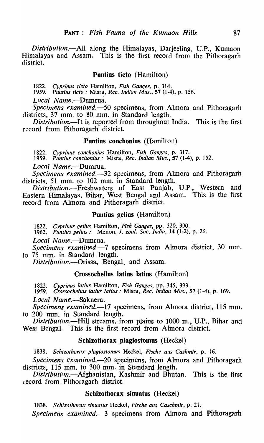*Distribution.-All* along the Himalayas, Darjeeling, *V.P.,* Kumaon Himalayas and Assam. This is the first record from the Pithoragarh district.

### Puntius ticto (Hamilton)

*1822. CYPl'illllS tieto* Hanlilton, *Fish Ganges,* p. 314.

*1959. PlllltillS ficlo* .0 Misra, *Ree. Indian Mus.,* 57 (1-4), p. 156.

*Local Name.-Dumrua.* 

*Specimens examined.-50* specimens, from Almora and Pithoragarh districts, 37 mm. to 80 mm. in Standard length.

*Distribution.-It* is reported from throughout India. This is the first record from Pithoragarh district.

## Puntius conchonius (Hamilton)

*1822. CYPl'inlls eonchonius* Hamilton, *Fish Ganges,* p. 317.

*1959. PUlltius conchonius* 00 Misra, *Ree. Indian Mus.,* 57 (1-4), p. 152.

*Local Name.-Dumrua.* 

*Specimens examined.-32* specimens, from Almora and Pithoragarh districts, 51 mm. to 102 mm. in Standard length.

*Distribution.-Freshwaters* of East Punjab, *V.P.,* Western and Eastern Himalayas, Bihar, West Bengal and Assam. This is the first record from Almora and Pithoragarh district.

## Puntius gelius (Hamilton)

*1822. Cyprinus gelius* Hamilton, *Fish Ganges,* pp. 320, 390.

1962. Puntius gelius: Menon, *J. zool. Soc. India*, **14** (1-2), p. 26.

*Local Name.-Dumrua.* 

*Specimens examined.-7* specimens from Almora district, 30 mm. to 75 mm. in Standard length.

*Distribution.*—Orissa, Bengal, and Assam.

## Crossocheilus latius latius (Hamilton)

*1822. Cyprinus Tatius* Hamilton, *Fish Ganges,* pp'. 345, 393.

*1959. Crossoeheilus latius Tatius* .' Misra, *Ree. Indian Mus.,* 57 (1-4), p. 169.

*Local Name.-Saknera.* 

*Specimens examined.-17* specimens, from Almora district, 115 mm. to 200 mm. in Standard length.

*Distribution.-Hill* streams, from plains to 1000 m., *V.P.,* Bihar and West Bengal. This is the first record from Almora district.

## Schizothorax plagiostomus (Heckel)

*1838. Schizothorax plagiostomus* Heckel, *Fische aus Cashmir,* p. 16.

*Specimens examined.-20* specimens, from Almora and Pithoragarh districts, 115 mm. to 300 mm. in Standard length.

*Distribution.-Afghanistan,* Kashmir and Bhutan. This is the first record from Pithoragarh district.

# Schizothorax sinuatus (Heckel)

*1838. Schizofhorax sinuatus* Heckel, *Fische ails Caschmir,* p. 21.

*Specimens examined.*-3 specimens from Almora and Pithoragarh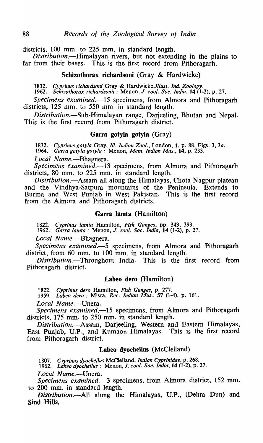### districts, 100 mm. to 225 mm. in standard length.

*Distribution.-Himalayan* rivers, but not extending in the plains to far from their bases. This is the first record from Pithoragarh.

# Schizothorax richardsoni (Gray & Hardwicke)

*1832. Cyprinus richardsoni* Gray & *Hardwicke,Illust. Ind. Zoology.* 

*1962. Schizothorax richardson;;* : Menon, J. *zool. Soc. India,* 14 (1-2), p. 27.

*Specimens examined.-15* specimens, from Almora and Pithoragarh districts, 125 mm. to 550 mm. in standard length.

*Distribution.-Sub-Himalayan* range, Darjeeling, Bhutan and Nepal. This is the first record from Pithoragarh district.

## Garra gotyla gotyla (Gray)

*1832. Cyprinlls gotyla* Gray, *Ill. Indian Zool.,* London, 1, p. 88, Figs. 3, *3a.* 

*1964. Garra gotyla gotyla:* Menon, *Mem. Indian Mus.,* 14, p. 233.

*Local Name.-Bhagnera.* 

*Specimens examined.-13* specimens, from Almora and Pithoragarh districts, 80 mm. to 225 mm. in standard length.

*Distribution.-Assam* all along the Himalayas, Chota Nagpur plateau and the Vindhya-Satpura mountains of the Peninsula. Extends to Burma and West Punjab in West Pakistan. This is the first record from the Almora and Pithoragarh districts.

## Garra lamta (Hamilton)

*1822. Cyprinus lamIa* Hamilton, *Fish Ganges,* pp. 343, 393.

*1962. Garra lamIa:* Menon, J. *zoo* I. *Soc. India,* 14 (1-2), p. 27.

*Local Name.-Bhagnera.* 

*Specimens examined.-5* specimens, from Almora and Pithoragarh district, from 60 mm. to 100 mm. in standard length.

*Distribution.-Throughout* India. This is the first record from Pithoragarh district.

## Labeo dero (Hamilton)

] 822. *Cyprinus dero* Hamilton, *Fish Ganges,* p. 277.

*1959. Labeo dero:* Misra, *Rec. Indian Mus.,* 57 (1-4), p. 161.

*Local Name.-Unera.* 

*Specimens examined.-15* specimens, from Almora and Pithoragarh districts, 175 mm. to 250 mm. in standard length.

*Distribution.-Assam,* Darjeeling, Western and Eastern Himalayas, East Punjab, D.P., and Kumaon Himalayas. This is the first record from Pithoragarh district.

# Labeo dyocbeilus (McClelland)

*1807. Cyprinus dyocheilus* McClelland, *Indian Cyprinidae,* p. 268.

*1962. Labeo dyocheilus:* Menon, J. *zool. Soc. India,* 14 (1-2), p. 27.

*Local Name.-Unera.* 

*Specimens examined.-3* specimens, from Almora district, 152 mm. to 200 mm. in standard length.

*Distribution.-All* along the Himalayas, U.P., (Dehra Dun) and Sind Hills,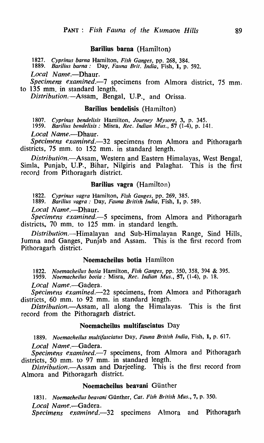### Barilius barna (Hamilton)

1827. *Cyprinus barna* Hamilton, *Fish Ganges*, pp. 268, 384.<br>1889. *Barilius barna: Day, Fauna Brit, India, Fish, 1, p. 1889. Barilius barna:* Day, *Fauna Brit. India,* Fish, 1, p. 592. Local Name.-Dhaur. *Specimerus examined.-7* specimens from Almora district, 75 mm.

to 135 mm. in standard length. *Distribution.--Assam,* Bengal, *V.P.,* and Orissa.

### Barilius bendelisis (Hamilton)

] 807. *Cyprinus bendelisis* Hamilton, *Journey Mysore,* 3, p. 345.

*1959. Barilills bendelisis:* Misra, *Ree. Indian Mus.,* 57 (1-4), p. 141.

*Local Name.-Dhaur.* 

*Specimens examined.-32* specimens from Almora and Pithoragarh districts, 75 mm. to 152 mm. in standard length.

*Distribution.-Assam,* Western and Eastern Himalayas, West Bengal, Simla, Punjab, *V.P.,* Bihar, Nilgiris and Palaghat. This is the first record from Pithoragarh district.

### Barilius vagra (Hamilton)

] 822. *Cyprinus vagra* Hamilton, *Fish Ganges,* pp. 269, 385.

*1889. Barilius vagra:* Day, *Fauna British India,* Fish, 1, p. 589.

*Local Name.-Dhaur.* 

*Specimens examined.-5* specimens, from Almora and Pithoragarh districts, 70 mm. to 125 mm. in standard length.

*Distribution.-Himalayan* and Sub-Himalayan Range, Sind Hills, Jumna and Ganges, Punjab and Assam. This is the first record from Pithoragarh district.

## Noemacheilus botia Hamilton

*1822. Noemacheilus botia* Hamilton, *Fish Ganges,* pp. 350, 358, 394 & 395.

*1959. Noemacheilus botia:* Misra, *Rec. Indian Mus.,* 57, (1-4), p. 18.

Local Name.-Gadera.

*Specimens examined.-22* specimens, from Almora and Pithoragarh districts, 60 mm. to 92 mm. in standard length.

*Distribution.-Assanl,* all along the Himalayas. This is the first record from the Pithoragarh district.

# Noemacheilus multifasciatus Day

*1889. Noemacheilus multi/asciatus* Day, *Fauna British India,* Fish, 1, p. 617.

*Local Name.-Gadera.* 

*Specimens examined.-7* specimens, from Almora and Pithoragarh districts, 50 mm. to 97 mm. in standard length.

*Distribution.*-Assam and Darjeeling. This is the first record from Almora and Pithoragarh district.

### Noemacheilus beavani Günther

*1831. Noemacheilus beavani* GUnther, *Cat. Fish British Mus.,* 7, p. 350.

*Local Name.-Gadera.* 

*Specimens examined.-32* specimens Almora and Pithoragarh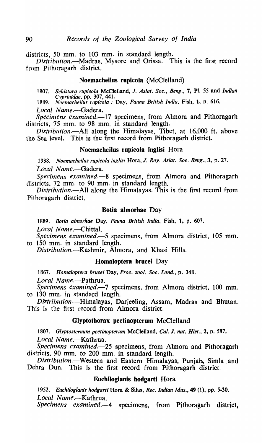districts, 50 mm. to 103 mm. in standard length.

*Dislriblltion.-Madras,* Mysore and Orissa. This is the first record from Pithoragarh district.

### Noemacheilus rupicola (McClelland)

1807. Schistura rupicola McClelland, J. Asiat. Soc., Beng., 7, Pl. 55 and *Indian C'vprinidae,* pp. 307, 441.

1889. Noemacheilus rupicola : Day, *Fauna British India*, Fish, 1, p. 616.

Local Name.-Gadera.

*Specimens examined.-17* specimens, from Almora and Pithoragarh districts, 75 mm. to 98 mm. in standard length.

*Distribution.-All* along the Himalayas, Tibet, at 16,000 ft. above the Sea level. This is the first record from Pithoragarh district.

## Noemacheilus rupicola inglisi Hora

*1938. Noemacheilus rupicola inglisi* Hora, J. *Roy. Asia!. Soc. Beng.,* 3, p. 27. *'Local Name.-Gadera.* 

*Specimens examined.-8* specimens, from Almora and Pithoragarh districts, 72 mm. to 90 mm. in standard length.

*Distribution.*—All along the Himalayas. This is the first record from Pithoragarh district.

#### Botia almorhae Day

*1889. Botia almorhae* Day, *Fauna British India,* Fish, 1, p. 607. Local Name.-Chittal.

*Specimens examined.-5* specimens, from Almora district, 105 mm. to 150 mm. in standard length.

*Distribution.-Kashmir,* Almora, and Khasi Hills.

# Homaloptera brucei Day

*1867. Homaloptera bruce;* Day, *Proc. zoo* I. *Soc. Lond.,* p. 348.

*Local Name.-Pathrua.* 

*Specimens examined.-7* specimens, from Almora district, 100 mm. to 130 mm. in standard length.

*Distribution.-Himalayas,* Darjeeling, Assam, Madras and Bhutan. This is the first record from Almora district.

### Glyptothorax pectinopterum McClelland

*1807. Glyptosternum pectinopterum* McClelland, *Cal.* J. *nat. Hist.,* 2, p. 587. *Local Name.-Kathrua.* 

*Specimens cxamined.-25* specimens, from Almora and Pithoragarh districts, 90 mm. to 200 mm. in standard length.

*Distribution.*—Western and Eastern Himalayas, Punjab, Simla and Dehra Dun. This is the first record from Pithoragarh district.

## Euchiloglanis hodgarti Hora

1952. Euchiloglanis hodgarti Hora & Silas, *Rec. Indian Mus.*, 49 (1), pp. 5-30.

*Local Name.*—Kathrua.<br>*Specimens examined.*—4 specimens, from Pithoragarh district,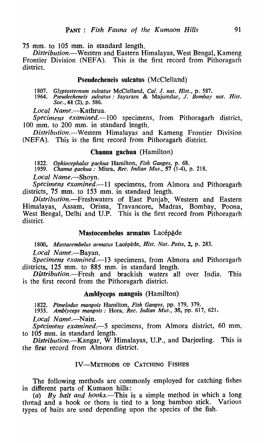75 mm. to 105 mm. in standard length.

*Distribution.-Western* and Eastern Himalayas, West Bengal, Kameng Frontier Division (NEFA). This is the first record from Pithoragarh district.

# Pseudecheneis sulcatus (McClelland)

1807. *Glyptosternum sulcatus* McClelland, *Cal.* J. *nat. Hist.,* p. 587.

*1964. Pseudecheneis sulcaius:* Jayaram & Majumdar, J. *Bombay nat. Hisl. Soc.,* 61 (2), p. 586.

*Local Name.-Kathrua.* 

*Specimens examined.-lOO* specimens, from Pithoragarh district, 100 mm. to 200 mm. in standard length.

*Distribution.-Western* Himalayas and Kameng Frontier Division (NEFA). This is the first record from Pithoragarh district.

### Channa gachua (Hamilton)

1822. *Ophiocephalus gachua* Hamilton, *Fish Ganges,* p. 68.

*1959. Channa gachua.·* Misra, *Rec. Indian Mus.,* 57 (1-4), p. 218.

*Local Name.-Shoyn.* 

*Specimens examined.-11* specimens, from Almora and Pithoragarh districts, 75 mm. to 153 mm. in standard length.

*Distribution.-Freshwaters* of East Punjab, Western and Eastern Himalayas, Assam, Orissa, Travancore, Madras, Bombay, Poona, This is the first record from Pithoragarh district.

### Mastocembelus armatus Lacépède

1800. Mastacembelus armatus Lacépède, Hist. Nat. Poiss, 2, p. 283.

*Local Name.-Bayan.* 

Specimens examined.-13 specimens, from Almora and Pithoragarh districts., 125 mm. to 885 mm. in standard length.

*Distribution.*--Fresh and brackish waters all over India. This is the first record from the Pithoragarh district.

## AmhJyceps mangois (Hamilton)

1822. *Pimelodus mangois* Hamilton, *Fish Ganges,* pp. 179, 379.

*1933. Amblyceps mango is* .' Hora, *Rec. Indian Mus.,* 35, pp. 617, 621.

*Local Name.-Nain.* 

*Specimens examined.*-5 specimens, from Almora district, 60 mm. to 105 mm. in standard length.

*Distribution.*-Kangar, W Himalayas, U.P., and Darjeeling. This is the first record from Almora district.

### IV-METHODS OF CATCHING FISHES

The following methods are commonly employed for catching fishes in different parts of Kumaon hills:

*(a) By bait and hooks.-This* is a simple method in which a long thread and a hook. or thorn is tied to a long bamboo stick. Various types of baits are used depending upon the species of the fish.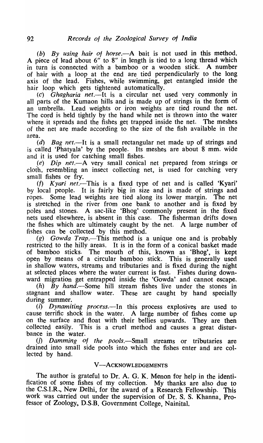*(b) By using hair of horse.-A* bait is not used in this method. A piece of lead about 6<sup>"</sup> to 8" in length is tied to a long thread which in turn is connected with a bamboo or a wooden stick. A number of hair with a loop at the end are tied perpendicularly to the long axis of the lead. Fishes, while swimming, get entangled inside the hair loop which gets tightened automatically.

(c) *Ghagharia net.-It* is a circular net used very commonly in all parts of the Kumaon hills and is made up of strings in the form of an umbrella. Lead weights or iron weights are tied round the net. The cord is held tightly by the hand while net is thrown into the water where it spreads and the fishes get trapped inside the net. The meshes of the net are made according to the size of the fish available in the area.

(d) *Bag net*.—It is a small rectangular net made up of strings and is called 'Phatyala' by the people. Its meshes are about 8 mm. wide and it is used for catching small fishes.

(e) *Dip net*.—A very small conical net prepared from strings or cloth, resembling an insect collecting net, is used for catching very small fishes or fry.

*(f) Kyar; net.-*This is a fixed type of net and is called 'Kyari' by local people. It is fairly big in size and is made of strings and ropes. Some lead weights are tied along its lower margin. The net is stretched in the river from one bank to another and is fixed by poles and stones. A sac-like 'Bhog' commonly present in the fixed nets used elsewhere, is absent in this case. The fisherman drifts down the fishes which are ultimately caught by the net. A large number of fishes can be coIIected by this method.

*(g) Gowda Trap.-This* method is a unique one and is probably restricted to the hilly areas. It is in the form of a conical basket made of bamboo sticks. The mouth of this, known as 'Bhog', is kept open by means of a circular bamboo stick. This is generally used in shallow waters, streams and tributaries and is fixed during the night at selected places where the water current is fast. Fishes during downward migration get entrapped inside the 'Gowda' and cannot escape.

*(h) By hand.-Some* hill stream fishes live under the stones in stagnant and shallow water. These are caught by hand specially during summer.

(I) *Dynamiting process.-In* this process explosives are used to cause terrific shock in the water. A large number of fishes come up on the surface and float with their bellies upwards. They are then collected easily. This is a cruel method and causes a great distur- 'bance in the water.

*(11 Damming Of the pools.-Small* streams or tributaries are drained into small side pools into which the fishes enter and are collected by hand.

# V-ACKNOWLEDGEMENTS

The author is grateful to Dr. A. G. K. Menon for help in the identification of some fishes of my collection. My thanks are also due to the C.S.I.R .. , New Delhi, for the award of a Research Fellowship. This work was carried out under the supervision of Dr. S. S. Khanna, Professor of Zoology., D.S.B. Government College, Nainital.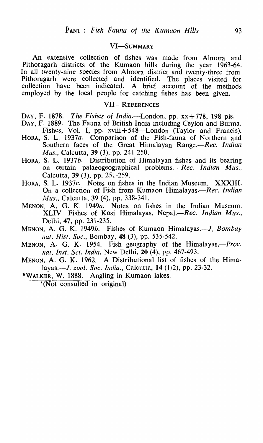# VI-SUMMARY

An extensive collection of fishes was made from Almora and Pithoragarh districts of the Kumaon hills during the year 1963-64. In all twenty-nine species from Almora district and twenty-three from Pithoragarh were collected and identified. The places visited for collection have been indicated. A brief account of the methods employed by the local people for catching fishes has been given.

# VII-REFERENCES

- DAY, F. 1878. *The Fishes of India.-London,* pp. xx+778, 198 pIs.
- DAY, F. 1889. The Fauna of British India including Ceylon and Burma. Fishes, Vol. I, pp. xviii + 548—London (Taylor and Francis).
- HORA, S. L. 1937a. Comparison of the Fish-fauna of Northern and Southern faces of the Great Himalayan Range.-Rec. Indian *Mus.,* Calcutta, 39 (3), pp. 241-250.
- HORA, S. L. 1937b. Distribution of Himalayan fishes and its bearing on certain palaeogeographical *problems.-Rec. Indian Mus.,*  Calcutta, 39 (3), pp. 251-259.
- HORA, S. L. 1937c. Notes on fishes in the Indian Museum. XXXIII. On a collection of Fish from Kumaon Himalayas.—Rec. *Indian Mus., Calcutta, 39 (4), pp. 338-341.*
- MENON, A. G. K. 1949a. Notes on fishes in the Indian Museum. XLIV Fishes of Kosi Himalayas, Nepal.-Rec. Indian Mus., Delhi, 47, pp. 231-235.
- MENON, A. G. K. 1949b. Fishes of Kumaon Himalayas.—J. Bombay *nat. Hist. Soc.,* Bombay, 48 (3), pp. 535-542.
- MENON, A. G. K. 1954. Fish geography of the Himalayas.--Proc. *nat. Inst. Sci. India,* New Delhi, 20 (4), pp. 467-493.
- MENON, A. G. K. 1962. A Distributional list of fishes of the Rimalayas.-J. *zool. Soc. India.,* Calcutta, 14 (1/2), pp. 23-32.
- \*W ALKER, W. 1888. Angling in Kumaon lakes.

 $*(Not\;\; consulted\;\; in\;\; original))$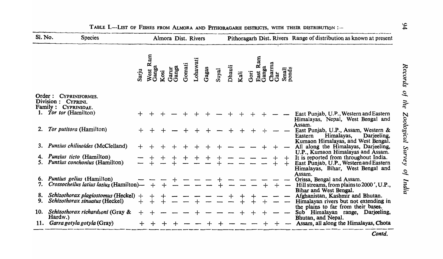| Sl. No. | <b>Species</b><br>Almora Dist. Rivers                                                                   |       |                            |      |                |        |          |                |               | Pithoragarh Dist. Rivers Range of distribution as known at present |      |                  |               |                |                                                                                                                                                           |
|---------|---------------------------------------------------------------------------------------------------------|-------|----------------------------|------|----------------|--------|----------|----------------|---------------|--------------------------------------------------------------------|------|------------------|---------------|----------------|-----------------------------------------------------------------------------------------------------------------------------------------------------------|
|         |                                                                                                         | Sarju | am<br>≃<br>West R<br>Ganga | Kosi | Garur<br>Ganga | Gomati | Lohawati | Gagas<br>Suyal | <b>Dhauli</b> | Kali                                                               | Gori | East Ra<br>Ganga | Charma<br>Gar | Small<br>ponds |                                                                                                                                                           |
|         | Order :<br><b>CYPRINIFORMES.</b><br>Division : CYPRINI.<br>Family: CYPRINIDAE.<br>1. Tor tor (Hamilton) |       |                            |      |                |        |          |                |               |                                                                    |      |                  |               |                | East Punjab, U.P., Western and Eastern<br>Himalayas, Nepal, West Bengal and                                                                               |
|         | 2. Tor putitora (Hamilton)                                                                              |       |                            |      |                |        |          |                |               |                                                                    |      |                  |               |                | Assam.<br>East Punjab, U.P., Assam, Western &<br>Himalayas,<br>Darjeeling,<br>Eastern                                                                     |
|         | 3. Puntius chilinoides (McClelland)                                                                     |       |                            |      |                |        |          |                |               |                                                                    |      |                  |               |                | Kumaon Himalayas, and West Bengal.<br>All along the Himalayas, Darjeeling,                                                                                |
|         | <i>Puntius ticto</i> (Hamilton)<br>5. Puntius conchonius (Hamilton)                                     |       |                            |      |                |        |          |                |               |                                                                    |      |                  |               | $+$            | U.P., Kumaon Himalayas and Assam.<br>It is reported from throughout India.<br>East Punjab, U.P., Western and Eastern<br>Himalayas, Bihar, West Bengal and |
|         | 6. <i>Puntius gelius</i> (Hamilton)<br>Crossocheilus latius latius (Hamilton)-                          |       |                            |      |                |        |          |                |               |                                                                    |      |                  |               |                | Assam.<br>Orissa, Bengal and Assam.<br>Hill streams, from plains to 2000', U.P.,                                                                          |
| 9.      | 8. Schizothorax plagiostomus (Heckel)<br><i>Schizothorax sinuatus</i> (Heckel)                          | ┿     |                            |      |                |        |          |                |               |                                                                    |      |                  |               |                | Bihar and West Bengal.<br>Afghanistan, Kashmir and Bhutan.<br>Himalayan rivers but not extending in                                                       |
|         | 10. Schizothorax richardsoni (Gray &<br>Hardw.)                                                         | ┿     |                            |      |                |        |          |                |               |                                                                    |      |                  |               |                | the plains to far from their bases.<br>Sub Himalayan range, Darjeeling,<br>Bhutan, and Nepal.                                                             |
|         | 11. Garra gotyla gotyla (Gray)                                                                          |       |                            |      |                |        |          |                |               |                                                                    |      |                  |               |                | Assam, all along the Himalayas, Chota                                                                                                                     |
|         |                                                                                                         |       |                            |      |                |        |          |                |               |                                                                    |      |                  |               |                | $\mathcal{C}$ ont $\mathcal{A}$                                                                                                                           |

 $\bullet$ 

*Contd.*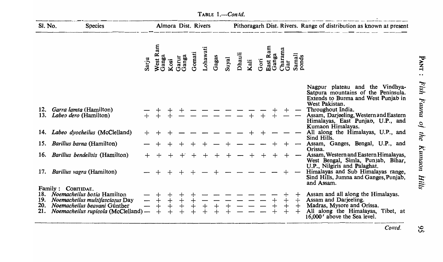| Sl. No.    | <b>Species</b>                                                                                                                                                            |       |                   |       | Almora Dist. Rivers |         |               |                   |                            |      |      |                   |                     |                   | Pithoragarh Dist. Rivers. Range of distribution as known at present                                                                                             |
|------------|---------------------------------------------------------------------------------------------------------------------------------------------------------------------------|-------|-------------------|-------|---------------------|---------|---------------|-------------------|----------------------------|------|------|-------------------|---------------------|-------------------|-----------------------------------------------------------------------------------------------------------------------------------------------------------------|
|            |                                                                                                                                                                           | Sarju | West Ram<br>Ganga | Kosi  | Garur<br>Ganga      | Gomati  |               | Lohawati<br>Gagas | Suyal<br>Dhauli            | Kali | Gori | East Ram<br>Ganga | Charama<br>Gar      | Samall<br>ponds   |                                                                                                                                                                 |
|            |                                                                                                                                                                           |       |                   |       |                     |         |               |                   |                            |      |      |                   |                     |                   | Nagpur plateau and the Vindhya-<br>Satpura mountains of the Peninsula.<br>Extends to Burma and West Punjab in<br>West Pakistan.                                 |
| 12.<br>13. | Garra lamta (Hamilton)<br>Labeo dero (Hamilton)                                                                                                                           |       |                   |       |                     |         |               |                   |                            |      |      |                   |                     |                   | Throughout India.<br>Assam, Darjeeling, Western and Eastern<br>Himalayas, East Punjab, U.P., and                                                                |
| 14.        | Labeo dyocheilus (McClelland)                                                                                                                                             |       |                   |       |                     |         |               |                   |                            |      |      |                   |                     |                   | Kumaon Himalayas.<br>All along the Himalayas, U.P., and                                                                                                         |
| 15.        | Barilius barna (Hamilton)                                                                                                                                                 |       |                   |       |                     |         |               |                   |                            |      |      |                   |                     |                   | Sind Hills.<br>Assam, Ganges, Bengal, U.P., and                                                                                                                 |
| 16.        | Barilius bendelisis (Hamilton)                                                                                                                                            |       |                   |       |                     |         |               |                   |                            |      |      |                   |                     |                   | Orissa.<br>Assam, Western and Eastern Himalayas,<br>West Bengal, Simla, Pun)ab, Bihar,                                                                          |
| 17.        | <i>Barilius vagra</i> (Hamilton)                                                                                                                                          |       |                   |       |                     |         |               |                   |                            |      |      |                   |                     |                   | U.P., Nilgiris and Palaghat.<br>Himalayas and Sub Himalayas range,<br>Sind Hills, Jumna and Ganges, Punjab,<br>and Assam.                                       |
| 20.<br>21. | Family: COBITIDAE.<br>18. Noemacheilus botia Hamilton<br>19. Noemacheilus multifasciatus Day<br><i>Noemacheilus beavani</i> Gúnther<br>Noemacheilus rupicola (McClelland) |       |                   | $+ +$ | $+ +$               | $+ + +$ | $\frac{-}{+}$ |                   | $- - - - -$<br>+ + - - - - |      |      |                   | $\mathrm{+}$<br>$+$ | $+$<br>$+$<br>$+$ | Assam and all along the Himalayas.<br>Assam and Darjeeling.<br>Madras, Mysore and Orissa.<br>All along the Himalayas, Tibet, at<br>16,000' above the Sea level. |
|            |                                                                                                                                                                           |       |                   |       |                     |         |               |                   |                            |      |      |                   |                     |                   | Contd.                                                                                                                                                          |

TABLE *I.-Con rd.* 

 $56$